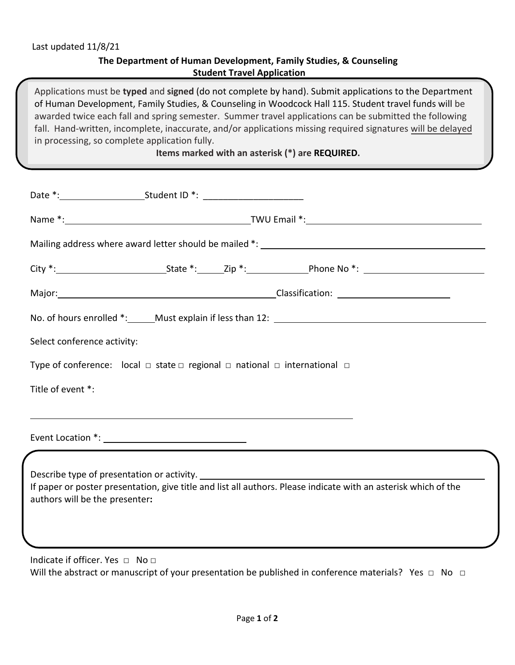## **The Department of Human Development, Family Studies, & Counseling Student Travel Application**

Applications must be **typed** and **signed** (do not complete by hand). Submit applications to the Department of Human Development, Family Studies, & Counseling in Woodcock Hall 115. Student travel funds will be awarded twice each fall and spring semester. Summer travel applications can be submitted the following fall. Hand-written, incomplete, inaccurate, and/or applications missing required signatures will be delayed in processing, so complete application fully.

## **Items marked with an asterisk (\*) are REQUIRED.**

|                                 |                                                                                                            |  | Mailing address where award letter should be mailed *: __________________________                               |  |  |  |  |
|---------------------------------|------------------------------------------------------------------------------------------------------------|--|-----------------------------------------------------------------------------------------------------------------|--|--|--|--|
|                                 |                                                                                                            |  |                                                                                                                 |  |  |  |  |
|                                 |                                                                                                            |  | Major: Major: Major: Major: Major: Major: Major: Major: Major: Major: Major: Major: Major: Major: Major: Major  |  |  |  |  |
|                                 |                                                                                                            |  | No. of hours enrolled *: Must explain if less than 12:                                                          |  |  |  |  |
| Select conference activity:     |                                                                                                            |  |                                                                                                                 |  |  |  |  |
|                                 | Type of conference: $\vert$ local $\Box$ state $\Box$ regional $\Box$ national $\Box$ international $\Box$ |  |                                                                                                                 |  |  |  |  |
| Title of event *:               |                                                                                                            |  |                                                                                                                 |  |  |  |  |
|                                 |                                                                                                            |  |                                                                                                                 |  |  |  |  |
|                                 |                                                                                                            |  |                                                                                                                 |  |  |  |  |
| authors will be the presenter:  |                                                                                                            |  | If paper or poster presentation, give title and list all authors. Please indicate with an asterisk which of the |  |  |  |  |
| Indicate if officer. Yes □ No □ |                                                                                                            |  |                                                                                                                 |  |  |  |  |

Will the abstract or manuscript of your presentation be published in conference materials? Yes □ No □